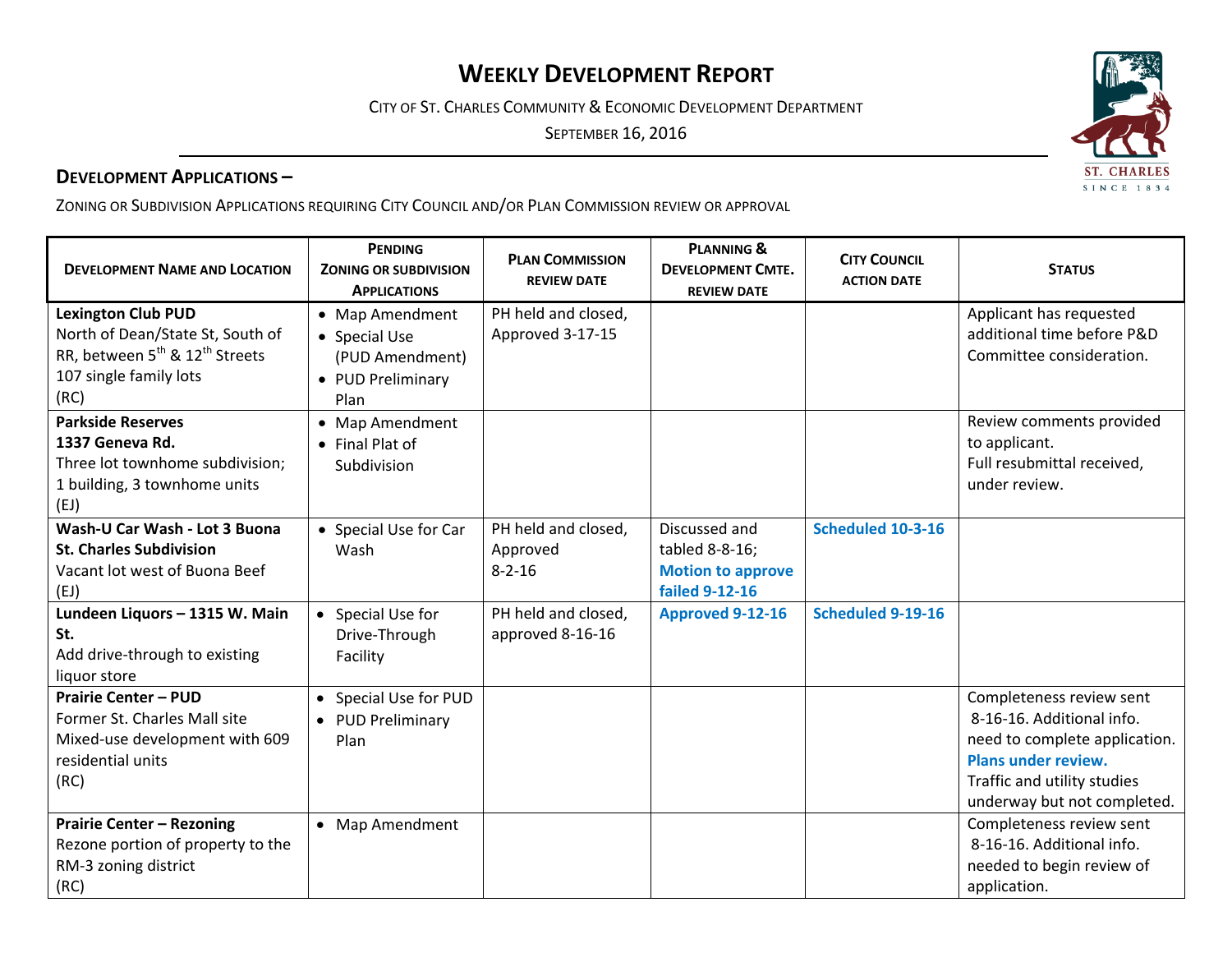# **WEEKLY DEVELOPMENT REPORT**

CITY OF ST. CHARLES COMMUNITY & ECONOMIC DEVELOPMENT DEPARTMENT

SEPTEMBER 16, 2016

## **DEVELOPMENT APPLICATIONS –**

ZONING OR SUBDIVISION APPLICATIONS REQUIRING CITY COUNCIL AND/OR PLAN COMMISSION REVIEW OR APPROVAL

| <b>DEVELOPMENT NAME AND LOCATION</b>                                                                                                                      | <b>PENDING</b><br><b>ZONING OR SUBDIVISION</b><br><b>APPLICATIONS</b>            | <b>PLAN COMMISSION</b><br><b>REVIEW DATE</b>    | <b>PLANNING &amp;</b><br><b>DEVELOPMENT CMTE.</b><br><b>REVIEW DATE</b>              | <b>CITY COUNCIL</b><br><b>ACTION DATE</b> | <b>STATUS</b>                                                                                                                                                                      |
|-----------------------------------------------------------------------------------------------------------------------------------------------------------|----------------------------------------------------------------------------------|-------------------------------------------------|--------------------------------------------------------------------------------------|-------------------------------------------|------------------------------------------------------------------------------------------------------------------------------------------------------------------------------------|
| <b>Lexington Club PUD</b><br>North of Dean/State St, South of<br>RR, between 5 <sup>th</sup> & 12 <sup>th</sup> Streets<br>107 single family lots<br>(RC) | • Map Amendment<br>• Special Use<br>(PUD Amendment)<br>• PUD Preliminary<br>Plan | PH held and closed,<br>Approved 3-17-15         |                                                                                      |                                           | Applicant has requested<br>additional time before P&D<br>Committee consideration.                                                                                                  |
| <b>Parkside Reserves</b><br>1337 Geneva Rd.<br>Three lot townhome subdivision;<br>1 building, 3 townhome units<br>(EJ)                                    | • Map Amendment<br>• Final Plat of<br>Subdivision                                |                                                 |                                                                                      |                                           | Review comments provided<br>to applicant.<br>Full resubmittal received,<br>under review.                                                                                           |
| Wash-U Car Wash - Lot 3 Buona<br><b>St. Charles Subdivision</b><br>Vacant lot west of Buona Beef<br>(EJ)                                                  | • Special Use for Car<br>Wash                                                    | PH held and closed,<br>Approved<br>$8 - 2 - 16$ | Discussed and<br>tabled 8-8-16;<br><b>Motion to approve</b><br><b>failed 9-12-16</b> | Scheduled 10-3-16                         |                                                                                                                                                                                    |
| Lundeen Liquors - 1315 W. Main<br>St.<br>Add drive-through to existing<br>liquor store                                                                    | • Special Use for<br>Drive-Through<br>Facility                                   | PH held and closed,<br>approved 8-16-16         | <b>Approved 9-12-16</b>                                                              | <b>Scheduled 9-19-16</b>                  |                                                                                                                                                                                    |
| <b>Prairie Center - PUD</b><br>Former St. Charles Mall site<br>Mixed-use development with 609<br>residential units<br>(RC)                                | Special Use for PUD<br>• PUD Preliminary<br>Plan                                 |                                                 |                                                                                      |                                           | Completeness review sent<br>8-16-16. Additional info.<br>need to complete application.<br><b>Plans under review.</b><br>Traffic and utility studies<br>underway but not completed. |
| <b>Prairie Center - Rezoning</b><br>Rezone portion of property to the<br>RM-3 zoning district<br>(RC)                                                     | • Map Amendment                                                                  |                                                 |                                                                                      |                                           | Completeness review sent<br>8-16-16. Additional info.<br>needed to begin review of<br>application.                                                                                 |

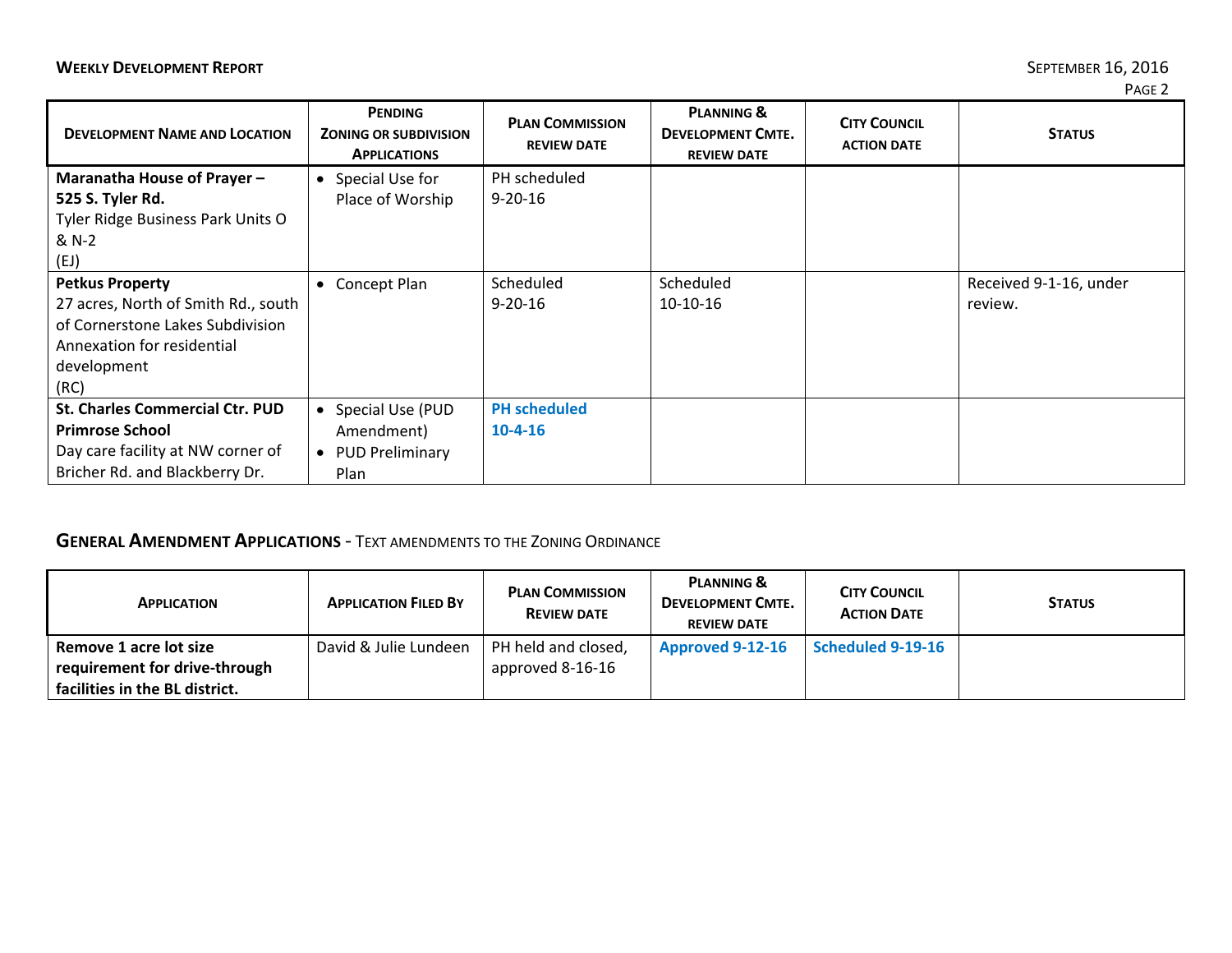| <b>DEVELOPMENT NAME AND LOCATION</b>   | <b>PENDING</b><br><b>ZONING OR SUBDIVISION</b><br><b>APPLICATIONS</b> | <b>PLAN COMMISSION</b><br><b>REVIEW DATE</b> | <b>PLANNING &amp;</b><br><b>DEVELOPMENT CMTE.</b><br><b>REVIEW DATE</b> | <b>CITY COUNCIL</b><br><b>ACTION DATE</b> | <b>STATUS</b>          |
|----------------------------------------|-----------------------------------------------------------------------|----------------------------------------------|-------------------------------------------------------------------------|-------------------------------------------|------------------------|
| Maranatha House of Prayer-             | • Special Use for                                                     | PH scheduled                                 |                                                                         |                                           |                        |
| 525 S. Tyler Rd.                       | Place of Worship                                                      | $9 - 20 - 16$                                |                                                                         |                                           |                        |
| Tyler Ridge Business Park Units O      |                                                                       |                                              |                                                                         |                                           |                        |
| & N-2                                  |                                                                       |                                              |                                                                         |                                           |                        |
| (EJ)                                   |                                                                       |                                              |                                                                         |                                           |                        |
| <b>Petkus Property</b>                 | Concept Plan<br>$\bullet$                                             | Scheduled                                    | Scheduled                                                               |                                           | Received 9-1-16, under |
| 27 acres, North of Smith Rd., south    |                                                                       | $9 - 20 - 16$                                | 10-10-16                                                                |                                           | review.                |
| of Cornerstone Lakes Subdivision       |                                                                       |                                              |                                                                         |                                           |                        |
| Annexation for residential             |                                                                       |                                              |                                                                         |                                           |                        |
| development                            |                                                                       |                                              |                                                                         |                                           |                        |
| (RC)                                   |                                                                       |                                              |                                                                         |                                           |                        |
| <b>St. Charles Commercial Ctr. PUD</b> | • Special Use (PUD                                                    | <b>PH</b> scheduled                          |                                                                         |                                           |                        |
| <b>Primrose School</b>                 | Amendment)                                                            | $10-4-16$                                    |                                                                         |                                           |                        |
| Day care facility at NW corner of      | • PUD Preliminary                                                     |                                              |                                                                         |                                           |                        |
| Bricher Rd. and Blackberry Dr.         | Plan                                                                  |                                              |                                                                         |                                           |                        |

## **GENERAL AMENDMENT APPLICATIONS** ‐ TEXT AMENDMENTS TO THE ZONING ORDINANCE

| <b>APPLICATION</b>             | <b>APPLICATION FILED BY</b> | <b>PLAN COMMISSION</b><br><b>REVIEW DATE</b> | <b>PLANNING &amp;</b><br><b>DEVELOPMENT CMTE.</b><br><b>REVIEW DATE</b> | <b>CITY COUNCIL</b><br><b>ACTION DATE</b> | <b>STATUS</b> |
|--------------------------------|-----------------------------|----------------------------------------------|-------------------------------------------------------------------------|-------------------------------------------|---------------|
| Remove 1 acre lot size         | David & Julie Lundeen       | PH held and closed,                          | <b>Approved 9-12-16</b>                                                 | Scheduled 9-19-16                         |               |
| requirement for drive-through  |                             | approved 8-16-16                             |                                                                         |                                           |               |
| facilities in the BL district. |                             |                                              |                                                                         |                                           |               |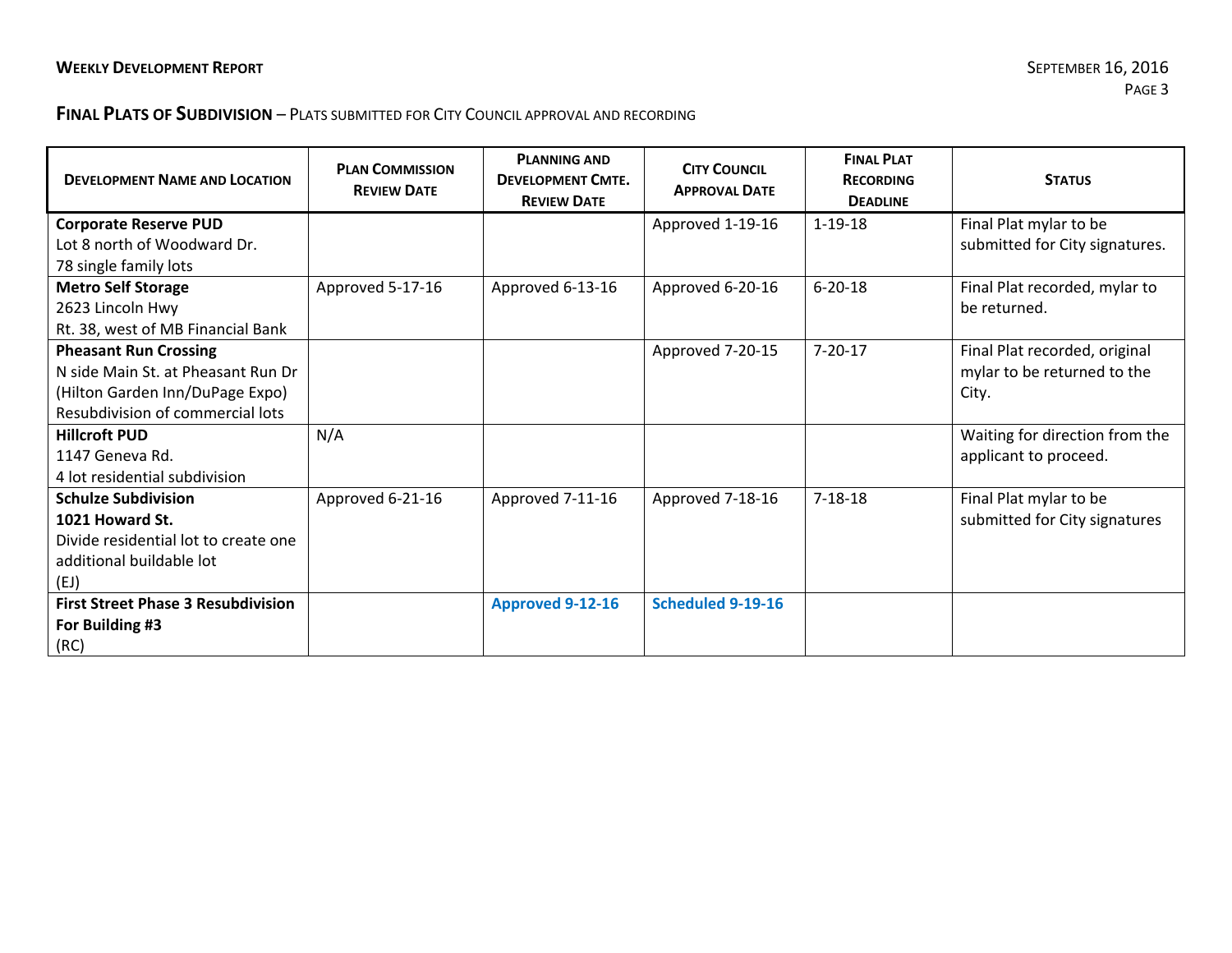#### **FINAL PLATS OF SUBDIVISION** – PLATS SUBMITTED FOR CITY COUNCIL APPROVAL AND RECORDING

| <b>DEVELOPMENT NAME AND LOCATION</b>      | <b>PLAN COMMISSION</b><br><b>REVIEW DATE</b> | <b>PLANNING AND</b><br><b>DEVELOPMENT CMTE.</b><br><b>REVIEW DATE</b> | <b>CITY COUNCIL</b><br><b>APPROVAL DATE</b> | <b>FINAL PLAT</b><br><b>RECORDING</b><br><b>DEADLINE</b> | <b>STATUS</b>                  |
|-------------------------------------------|----------------------------------------------|-----------------------------------------------------------------------|---------------------------------------------|----------------------------------------------------------|--------------------------------|
| <b>Corporate Reserve PUD</b>              |                                              |                                                                       | Approved 1-19-16                            | $1 - 19 - 18$                                            | Final Plat mylar to be         |
| Lot 8 north of Woodward Dr.               |                                              |                                                                       |                                             |                                                          | submitted for City signatures. |
| 78 single family lots                     |                                              |                                                                       |                                             |                                                          |                                |
| <b>Metro Self Storage</b>                 | Approved 5-17-16                             | Approved 6-13-16                                                      | Approved 6-20-16                            | $6 - 20 - 18$                                            | Final Plat recorded, mylar to  |
| 2623 Lincoln Hwy                          |                                              |                                                                       |                                             |                                                          | be returned.                   |
| Rt. 38, west of MB Financial Bank         |                                              |                                                                       |                                             |                                                          |                                |
| <b>Pheasant Run Crossing</b>              |                                              |                                                                       | Approved 7-20-15                            | $7 - 20 - 17$                                            | Final Plat recorded, original  |
| N side Main St. at Pheasant Run Dr        |                                              |                                                                       |                                             |                                                          | mylar to be returned to the    |
| (Hilton Garden Inn/DuPage Expo)           |                                              |                                                                       |                                             |                                                          | City.                          |
| Resubdivision of commercial lots          |                                              |                                                                       |                                             |                                                          |                                |
| <b>Hillcroft PUD</b>                      | N/A                                          |                                                                       |                                             |                                                          | Waiting for direction from the |
| 1147 Geneva Rd.                           |                                              |                                                                       |                                             |                                                          | applicant to proceed.          |
| 4 lot residential subdivision             |                                              |                                                                       |                                             |                                                          |                                |
| <b>Schulze Subdivision</b>                | Approved 6-21-16                             | Approved 7-11-16                                                      | Approved 7-18-16                            | $7 - 18 - 18$                                            | Final Plat mylar to be         |
| 1021 Howard St.                           |                                              |                                                                       |                                             |                                                          | submitted for City signatures  |
| Divide residential lot to create one      |                                              |                                                                       |                                             |                                                          |                                |
| additional buildable lot                  |                                              |                                                                       |                                             |                                                          |                                |
| (EJ)                                      |                                              |                                                                       |                                             |                                                          |                                |
| <b>First Street Phase 3 Resubdivision</b> |                                              | Approved 9-12-16                                                      | Scheduled 9-19-16                           |                                                          |                                |
| For Building #3                           |                                              |                                                                       |                                             |                                                          |                                |
| (RC)                                      |                                              |                                                                       |                                             |                                                          |                                |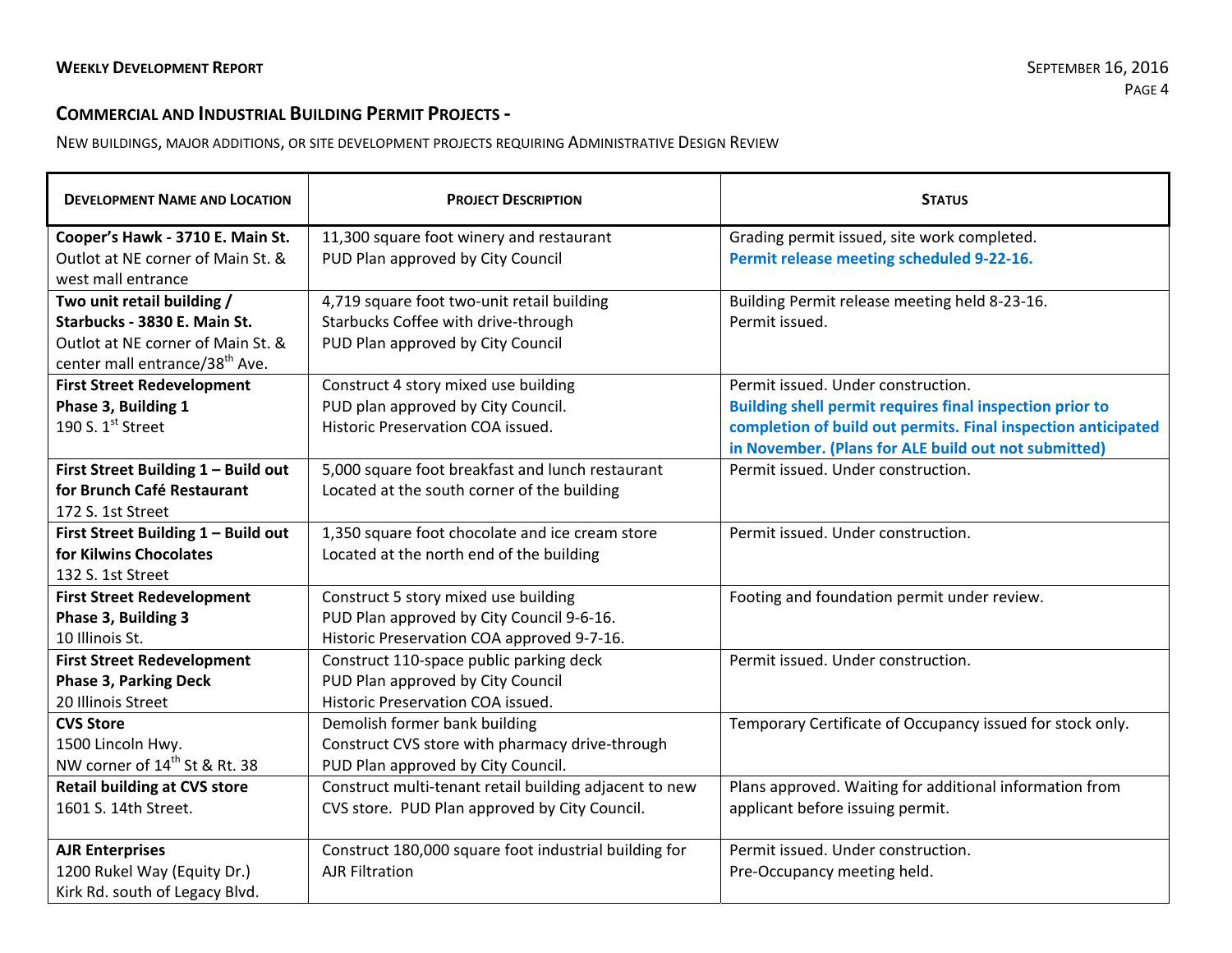## **COMMERCIAL AND INDUSTRIAL BUILDING PERMIT PROJECTS ‐**

NEW BUILDINGS, MAJOR ADDITIONS, OR SITE DEVELOPMENT PROJECTS REQUIRING ADMINISTRATIVE DESIGN REVIEW

| <b>DEVELOPMENT NAME AND LOCATION</b>       | <b>PROJECT DESCRIPTION</b>                             | <b>STATUS</b>                                                 |  |
|--------------------------------------------|--------------------------------------------------------|---------------------------------------------------------------|--|
| Cooper's Hawk - 3710 E. Main St.           | 11,300 square foot winery and restaurant               | Grading permit issued, site work completed.                   |  |
| Outlot at NE corner of Main St. &          | PUD Plan approved by City Council                      | Permit release meeting scheduled 9-22-16.                     |  |
| west mall entrance                         |                                                        |                                                               |  |
| Two unit retail building /                 | 4,719 square foot two-unit retail building             | Building Permit release meeting held 8-23-16.                 |  |
| Starbucks - 3830 E. Main St.               | Starbucks Coffee with drive-through                    | Permit issued.                                                |  |
| Outlot at NE corner of Main St. &          | PUD Plan approved by City Council                      |                                                               |  |
| center mall entrance/38 <sup>th</sup> Ave. |                                                        |                                                               |  |
| <b>First Street Redevelopment</b>          | Construct 4 story mixed use building                   | Permit issued. Under construction.                            |  |
| Phase 3, Building 1                        | PUD plan approved by City Council.                     | Building shell permit requires final inspection prior to      |  |
| 190 S. $1^{st}$ Street                     | Historic Preservation COA issued.                      | completion of build out permits. Final inspection anticipated |  |
|                                            |                                                        | in November. (Plans for ALE build out not submitted)          |  |
| First Street Building 1 - Build out        | 5,000 square foot breakfast and lunch restaurant       | Permit issued. Under construction.                            |  |
| for Brunch Café Restaurant                 | Located at the south corner of the building            |                                                               |  |
| 172 S. 1st Street                          |                                                        |                                                               |  |
| First Street Building 1 - Build out        | 1,350 square foot chocolate and ice cream store        | Permit issued. Under construction.                            |  |
| for Kilwins Chocolates                     | Located at the north end of the building               |                                                               |  |
| 132 S. 1st Street                          |                                                        |                                                               |  |
| <b>First Street Redevelopment</b>          | Construct 5 story mixed use building                   | Footing and foundation permit under review.                   |  |
| Phase 3, Building 3                        | PUD Plan approved by City Council 9-6-16.              |                                                               |  |
| 10 Illinois St.                            | Historic Preservation COA approved 9-7-16.             |                                                               |  |
| <b>First Street Redevelopment</b>          | Construct 110-space public parking deck                | Permit issued. Under construction.                            |  |
| <b>Phase 3, Parking Deck</b>               | PUD Plan approved by City Council                      |                                                               |  |
| 20 Illinois Street                         | Historic Preservation COA issued.                      |                                                               |  |
| <b>CVS Store</b>                           | Demolish former bank building                          | Temporary Certificate of Occupancy issued for stock only.     |  |
| 1500 Lincoln Hwy.                          | Construct CVS store with pharmacy drive-through        |                                                               |  |
| NW corner of 14 <sup>th</sup> St & Rt. 38  | PUD Plan approved by City Council.                     |                                                               |  |
| <b>Retail building at CVS store</b>        | Construct multi-tenant retail building adjacent to new | Plans approved. Waiting for additional information from       |  |
| 1601 S. 14th Street.                       | CVS store. PUD Plan approved by City Council.          | applicant before issuing permit.                              |  |
|                                            |                                                        | Permit issued. Under construction.                            |  |
| <b>AJR Enterprises</b>                     | Construct 180,000 square foot industrial building for  |                                                               |  |
| 1200 Rukel Way (Equity Dr.)                | <b>AJR Filtration</b>                                  | Pre-Occupancy meeting held.                                   |  |
| Kirk Rd. south of Legacy Blvd.             |                                                        |                                                               |  |